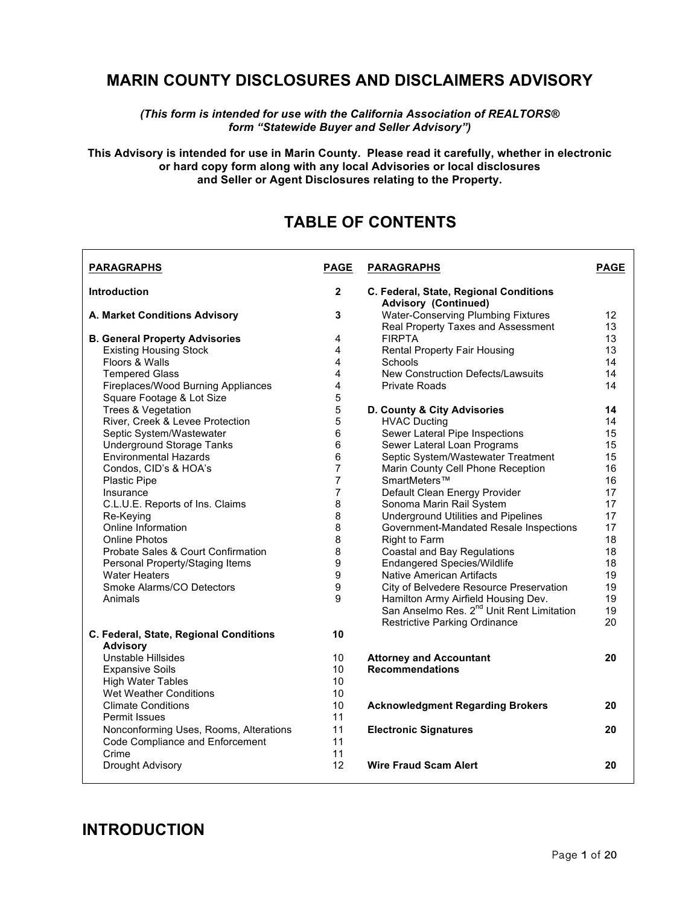### **MARIN COUNTY DISCLOSURES AND DISCLAIMERS ADVISORY**

*(This form is intended for use with the California Association of REALTORS® form "Statewide Buyer and Seller Advisory")*

**This Advisory is intended for use in Marin County. Please read it carefully, whether in electronic or hard copy form along with any local Advisories or local disclosures and Seller or Agent Disclosures relating to the Property.**

#### **PARAGRAPHS PAGE PARAGRAPHS PAGE Introduction 2 C. Federal, State, Regional Conditions Advisory (Continued) A. Market Conditions Advisory 3** Water-Conserving Plumbing Fixtures 12 Real Property Taxes and Assessment 13 **B. General Property Advisories** 4 FIRPTA 13 Existing Housing Stock 13 Floors & Walls 4 Schools 14 **Tempered Glass The Construction Defects/Lawsuits** 14 Fireplaces/Wood Burning Appliances 4 Private Roads<br>
Square Footage & Lot Size 14 5 Square Footage & Lot Size 5 Trees & Vegetation **14**<br>River, Creek & Levee Protection **14**<br>14 River, Creek & Levee Protection <br>
Septic System/Wastewater 
Septic System/Wastewater

15

Sewer Lateral Pipe Inspections

15

Sewer Lateral Pipe Inspections

15

15

16

Tewer Lateral Pipe Inspections

15

Tewer Lateral Pi Septic System/Wastewater 6 Sewer Lateral Pipe Inspections 15 Sewer Lateral Loan Programs Environmental Hazards 6 Septic System/Wastewater Treatment 15 Condos, CID's & HOA's 7 Marin County Cell Phone Reception 16<br>Plastic Pine 16<br>16 Plastic Pipe 7 SmartMeters™ 16 Insurance 7 Default Clean Energy Provider 17 C.L.U.E. Reports of Ins. Claims 6 November 20 Sonoma Marin Rail System 6 17 Re-Keying 8 Underground Utilities and Pipelines 17 Online Information **8** Government-Mandated Resale Inspections 17<br>8 Right to Farm 18 Online Photos **8 Right to Farm** 18 Probate Sales & Court Confirmation  $\begin{array}{ccc}\n 8 & \text{Coastal} \text{ and Bay Regulations} \\
 \text{Personal Property/Staining items} & \text{9} & \text{Endan aered Species/Willifie} \\
 \end{array}$  Personal Property/Staging Items 9 Endangered Species/Wildlife 18 Water Heaters 19<br>
Smoke Alarms/CO Detectors 19<br>
9 City of Belvedere Resource Preservation 19 9 City of Belvedere Resource Preservation 19<br>9 Hamilton Army Airfield Housing Dev. 19 Animals **Animals** 19 Hamilton Army Airfield Housing Dev. 19<br>San Anselmo Res. 2<sup>nd</sup> Unit Rent Limitation 19 San Anselmo Res. 2<sup>nd</sup> Unit Rent Limitation 19<br>Restrictive Parking Ordinance 19 20 Restrictive Parking Ordinance **C. Federal, State, Regional Conditions Advisory 10** Unstable Hillsides Expansive Soils 10 10 **Attorney and Accountant Recommendations 20** High Water Tables Wet Weather Conditions 10 10 Climate Conditions Permit Issues 10 11 **Acknowledgment Regarding Brokers 20** Nonconforming Uses, Rooms, Alterations Code Compliance and Enforcement 11 11 **Electronic Signatures 20** Crime 11 Drought Advisory 12 **Wire Fraud Scam Alert 20**

# **TABLE OF CONTENTS**

### **INTRODUCTION**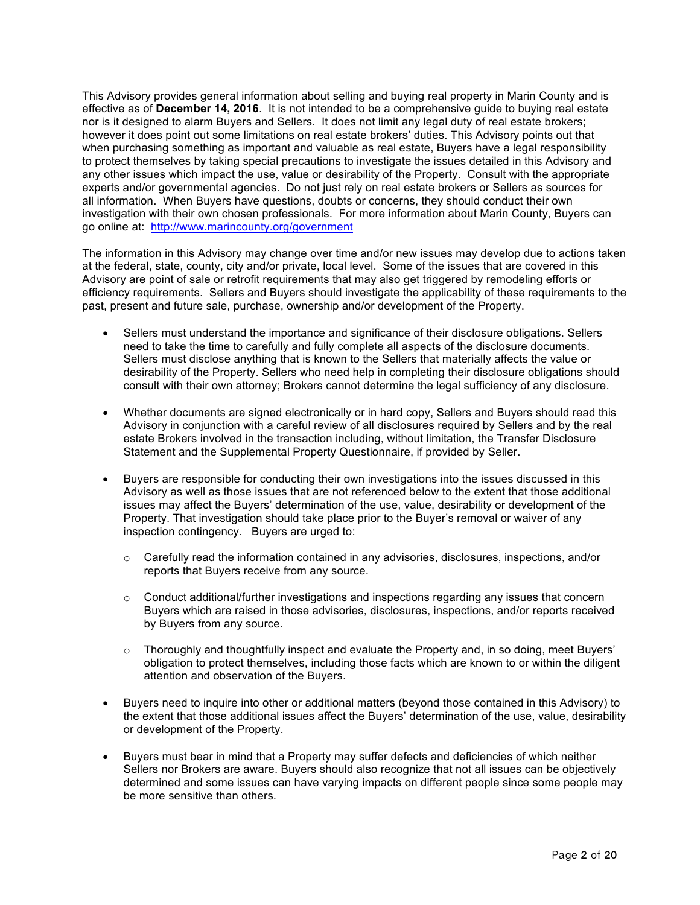This Advisory provides general information about selling and buying real property in Marin County and is effective as of **December 14, 2016**. It is not intended to be a comprehensive guide to buying real estate nor is it designed to alarm Buyers and Sellers. It does not limit any legal duty of real estate brokers; however it does point out some limitations on real estate brokers' duties. This Advisory points out that when purchasing something as important and valuable as real estate, Buyers have a legal responsibility to protect themselves by taking special precautions to investigate the issues detailed in this Advisory and any other issues which impact the use, value or desirability of the Property. Consult with the appropriate experts and/or governmental agencies. Do not just rely on real estate brokers or Sellers as sources for all information. When Buyers have questions, doubts or concerns, they should conduct their own investigation with their own chosen professionals. For more information about Marin County, Buyers can go online at: http://www.marincounty.org/government

The information in this Advisory may change over time and/or new issues may develop due to actions taken at the federal, state, county, city and/or private, local level. Some of the issues that are covered in this Advisory are point of sale or retrofit requirements that may also get triggered by remodeling efforts or efficiency requirements. Sellers and Buyers should investigate the applicability of these requirements to the past, present and future sale, purchase, ownership and/or development of the Property.

- Sellers must understand the importance and significance of their disclosure obligations. Sellers need to take the time to carefully and fully complete all aspects of the disclosure documents. Sellers must disclose anything that is known to the Sellers that materially affects the value or desirability of the Property. Sellers who need help in completing their disclosure obligations should consult with their own attorney; Brokers cannot determine the legal sufficiency of any disclosure.
- Whether documents are signed electronically or in hard copy, Sellers and Buyers should read this Advisory in conjunction with a careful review of all disclosures required by Sellers and by the real estate Brokers involved in the transaction including, without limitation, the Transfer Disclosure Statement and the Supplemental Property Questionnaire, if provided by Seller.
- Buyers are responsible for conducting their own investigations into the issues discussed in this Advisory as well as those issues that are not referenced below to the extent that those additional issues may affect the Buyers' determination of the use, value, desirability or development of the Property. That investigation should take place prior to the Buyer's removal or waiver of any inspection contingency. Buyers are urged to:
	- $\circ$  Carefully read the information contained in any advisories, disclosures, inspections, and/or reports that Buyers receive from any source.
	- $\circ$  Conduct additional/further investigations and inspections regarding any issues that concern Buyers which are raised in those advisories, disclosures, inspections, and/or reports received by Buyers from any source.
	- $\circ$  Thoroughly and thoughtfully inspect and evaluate the Property and, in so doing, meet Buyers' obligation to protect themselves, including those facts which are known to or within the diligent attention and observation of the Buyers.
- Buyers need to inquire into other or additional matters (beyond those contained in this Advisory) to the extent that those additional issues affect the Buyers' determination of the use, value, desirability or development of the Property.
- Buyers must bear in mind that a Property may suffer defects and deficiencies of which neither Sellers nor Brokers are aware. Buyers should also recognize that not all issues can be objectively determined and some issues can have varying impacts on different people since some people may be more sensitive than others.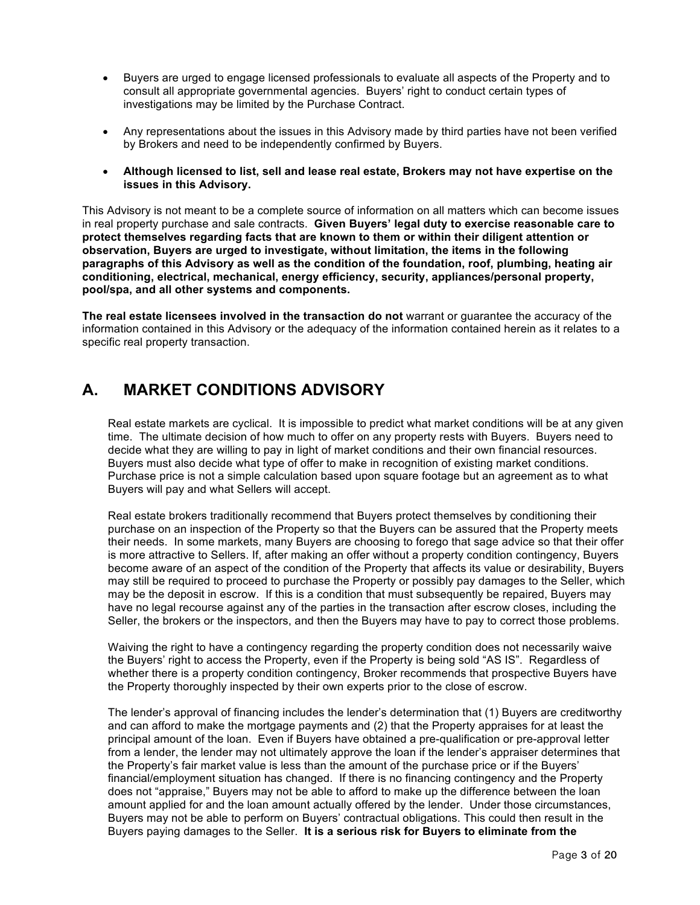- Buyers are urged to engage licensed professionals to evaluate all aspects of the Property and to consult all appropriate governmental agencies. Buyers' right to conduct certain types of investigations may be limited by the Purchase Contract.
- Any representations about the issues in this Advisory made by third parties have not been verified by Brokers and need to be independently confirmed by Buyers.
- **Although licensed to list, sell and lease real estate, Brokers may not have expertise on the issues in this Advisory.**

This Advisory is not meant to be a complete source of information on all matters which can become issues in real property purchase and sale contracts. **Given Buyers' legal duty to exercise reasonable care to protect themselves regarding facts that are known to them or within their diligent attention or observation, Buyers are urged to investigate, without limitation, the items in the following paragraphs of this Advisory as well as the condition of the foundation, roof, plumbing, heating air conditioning, electrical, mechanical, energy efficiency, security, appliances/personal property, pool/spa, and all other systems and components.**

**The real estate licensees involved in the transaction do not** warrant or guarantee the accuracy of the information contained in this Advisory or the adequacy of the information contained herein as it relates to a specific real property transaction.

### **A. MARKET CONDITIONS ADVISORY**

Real estate markets are cyclical. It is impossible to predict what market conditions will be at any given time. The ultimate decision of how much to offer on any property rests with Buyers. Buyers need to decide what they are willing to pay in light of market conditions and their own financial resources. Buyers must also decide what type of offer to make in recognition of existing market conditions. Purchase price is not a simple calculation based upon square footage but an agreement as to what Buyers will pay and what Sellers will accept.

Real estate brokers traditionally recommend that Buyers protect themselves by conditioning their purchase on an inspection of the Property so that the Buyers can be assured that the Property meets their needs. In some markets, many Buyers are choosing to forego that sage advice so that their offer is more attractive to Sellers. If, after making an offer without a property condition contingency, Buyers become aware of an aspect of the condition of the Property that affects its value or desirability, Buyers may still be required to proceed to purchase the Property or possibly pay damages to the Seller, which may be the deposit in escrow. If this is a condition that must subsequently be repaired, Buyers may have no legal recourse against any of the parties in the transaction after escrow closes, including the Seller, the brokers or the inspectors, and then the Buyers may have to pay to correct those problems.

Waiving the right to have a contingency regarding the property condition does not necessarily waive the Buyers' right to access the Property, even if the Property is being sold "AS IS". Regardless of whether there is a property condition contingency, Broker recommends that prospective Buyers have the Property thoroughly inspected by their own experts prior to the close of escrow.

The lender's approval of financing includes the lender's determination that (1) Buyers are creditworthy and can afford to make the mortgage payments and (2) that the Property appraises for at least the principal amount of the loan. Even if Buyers have obtained a pre-qualification or pre-approval letter from a lender, the lender may not ultimately approve the loan if the lender's appraiser determines that the Property's fair market value is less than the amount of the purchase price or if the Buyers' financial/employment situation has changed. If there is no financing contingency and the Property does not "appraise," Buyers may not be able to afford to make up the difference between the loan amount applied for and the loan amount actually offered by the lender. Under those circumstances, Buyers may not be able to perform on Buyers' contractual obligations. This could then result in the Buyers paying damages to the Seller. **It is a serious risk for Buyers to eliminate from the**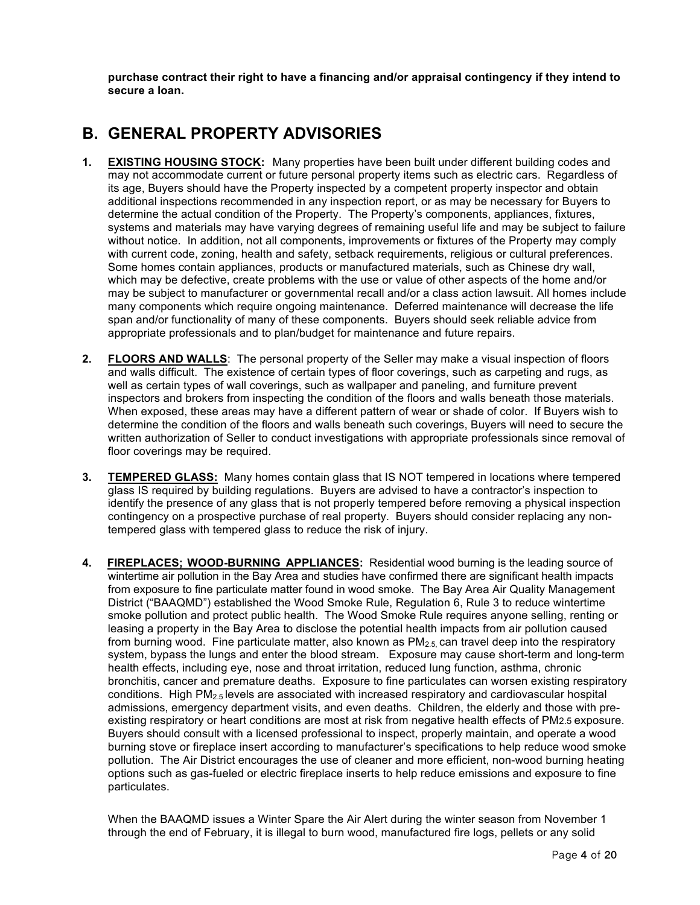**purchase contract their right to have a financing and/or appraisal contingency if they intend to secure a loan.**

# **B. GENERAL PROPERTY ADVISORIES**

- **1. EXISTING HOUSING STOCK:** Many properties have been built under different building codes and may not accommodate current or future personal property items such as electric cars. Regardless of its age, Buyers should have the Property inspected by a competent property inspector and obtain additional inspections recommended in any inspection report, or as may be necessary for Buyers to determine the actual condition of the Property. The Property's components, appliances, fixtures, systems and materials may have varying degrees of remaining useful life and may be subject to failure without notice. In addition, not all components, improvements or fixtures of the Property may comply with current code, zoning, health and safety, setback requirements, religious or cultural preferences. Some homes contain appliances, products or manufactured materials, such as Chinese dry wall, which may be defective, create problems with the use or value of other aspects of the home and/or may be subject to manufacturer or governmental recall and/or a class action lawsuit. All homes include many components which require ongoing maintenance. Deferred maintenance will decrease the life span and/or functionality of many of these components. Buyers should seek reliable advice from appropriate professionals and to plan/budget for maintenance and future repairs.
- **2. FLOORS AND WALLS**: The personal property of the Seller may make a visual inspection of floors and walls difficult. The existence of certain types of floor coverings, such as carpeting and rugs, as well as certain types of wall coverings, such as wallpaper and paneling, and furniture prevent inspectors and brokers from inspecting the condition of the floors and walls beneath those materials. When exposed, these areas may have a different pattern of wear or shade of color. If Buyers wish to determine the condition of the floors and walls beneath such coverings, Buyers will need to secure the written authorization of Seller to conduct investigations with appropriate professionals since removal of floor coverings may be required.
- **3. TEMPERED GLASS:** Many homes contain glass that IS NOT tempered in locations where tempered glass IS required by building regulations. Buyers are advised to have a contractor's inspection to identify the presence of any glass that is not properly tempered before removing a physical inspection contingency on a prospective purchase of real property. Buyers should consider replacing any nontempered glass with tempered glass to reduce the risk of injury.
- **4. FIREPLACES; WOOD-BURNING APPLIANCES:** Residential wood burning is the leading source of wintertime air pollution in the Bay Area and studies have confirmed there are significant health impacts from exposure to fine particulate matter found in wood smoke. The Bay Area Air Quality Management District ("BAAQMD") established the Wood Smoke Rule, Regulation 6, Rule 3 to reduce wintertime smoke pollution and protect public health. The Wood Smoke Rule requires anyone selling, renting or leasing a property in the Bay Area to disclose the potential health impacts from air pollution caused from burning wood. Fine particulate matter, also known as  $PM<sub>2.5</sub>$  can travel deep into the respiratory system, bypass the lungs and enter the blood stream. Exposure may cause short-term and long-term health effects, including eye, nose and throat irritation, reduced lung function, asthma, chronic bronchitis, cancer and premature deaths. Exposure to fine particulates can worsen existing respiratory conditions. High PM $_{2.5}$  levels are associated with increased respiratory and cardiovascular hospital admissions, emergency department visits, and even deaths. Children, the elderly and those with preexisting respiratory or heart conditions are most at risk from negative health effects of PM2.5 exposure. Buyers should consult with a licensed professional to inspect, properly maintain, and operate a wood burning stove or fireplace insert according to manufacturer's specifications to help reduce wood smoke pollution. The Air District encourages the use of cleaner and more efficient, non-wood burning heating options such as gas-fueled or electric fireplace inserts to help reduce emissions and exposure to fine particulates.

When the BAAQMD issues a Winter Spare the Air Alert during the winter season from November 1 through the end of February, it is illegal to burn wood, manufactured fire logs, pellets or any solid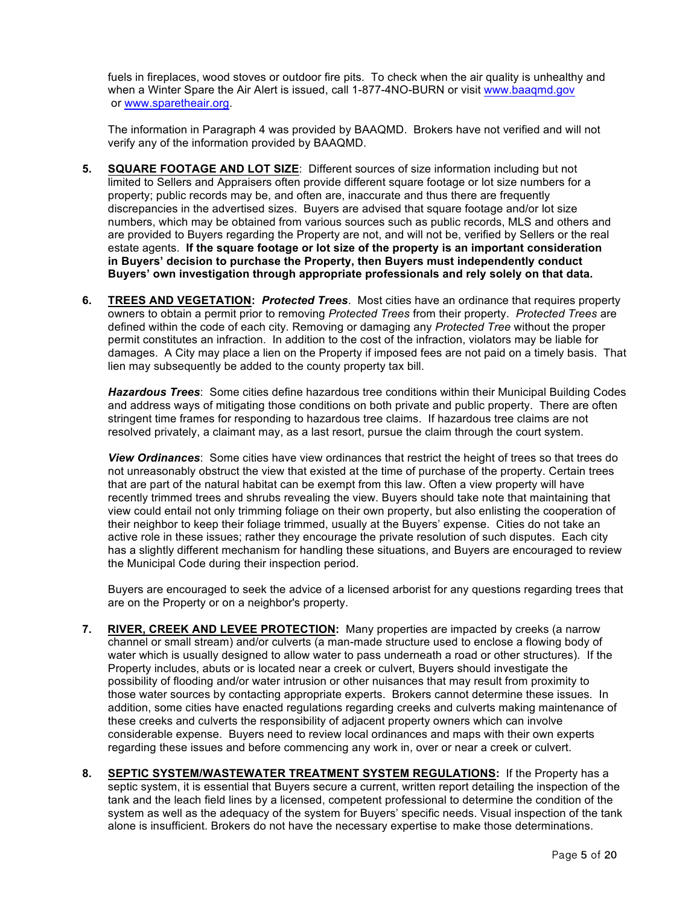fuels in fireplaces, wood stoves or outdoor fire pits. To check when the air quality is unhealthy and when a Winter Spare the Air Alert is issued, call 1-877-4NO-BURN or visit www.baaqmd.gov or www.sparetheair.org.

The information in Paragraph 4 was provided by BAAQMD. Brokers have not verified and will not verify any of the information provided by BAAQMD.

- **5. SQUARE FOOTAGE AND LOT SIZE**: Different sources of size information including but not limited to Sellers and Appraisers often provide different square footage or lot size numbers for a property; public records may be, and often are, inaccurate and thus there are frequently discrepancies in the advertised sizes. Buyers are advised that square footage and/or lot size numbers, which may be obtained from various sources such as public records, MLS and others and are provided to Buyers regarding the Property are not, and will not be, verified by Sellers or the real estate agents. **If the square footage or lot size of the property is an important consideration in Buyers' decision to purchase the Property, then Buyers must independently conduct Buyers' own investigation through appropriate professionals and rely solely on that data.**
- **6. TREES AND VEGETATION:** *Protected Trees*. Most cities have an ordinance that requires property owners to obtain a permit prior to removing *Protected Trees* from their property. *Protected Trees* are defined within the code of each city. Removing or damaging any *Protected Tree* without the proper permit constitutes an infraction. In addition to the cost of the infraction, violators may be liable for damages. A City may place a lien on the Property if imposed fees are not paid on a timely basis. That lien may subsequently be added to the county property tax bill.

*Hazardous Trees*: Some cities define hazardous tree conditions within their Municipal Building Codes and address ways of mitigating those conditions on both private and public property. There are often stringent time frames for responding to hazardous tree claims. If hazardous tree claims are not resolved privately, a claimant may, as a last resort, pursue the claim through the court system.

*View Ordinances*: Some cities have view ordinances that restrict the height of trees so that trees do not unreasonably obstruct the view that existed at the time of purchase of the property. Certain trees that are part of the natural habitat can be exempt from this law. Often a view property will have recently trimmed trees and shrubs revealing the view. Buyers should take note that maintaining that view could entail not only trimming foliage on their own property, but also enlisting the cooperation of their neighbor to keep their foliage trimmed, usually at the Buyers' expense. Cities do not take an active role in these issues; rather they encourage the private resolution of such disputes. Each city has a slightly different mechanism for handling these situations, and Buyers are encouraged to review the Municipal Code during their inspection period.

Buyers are encouraged to seek the advice of a licensed arborist for any questions regarding trees that are on the Property or on a neighbor's property.

- **7. RIVER, CREEK AND LEVEE PROTECTION:** Many properties are impacted by creeks (a narrow channel or small stream) and/or culverts (a man-made structure used to enclose a flowing body of water which is usually designed to allow water to pass underneath a road or other structures). If the Property includes, abuts or is located near a creek or culvert, Buyers should investigate the possibility of flooding and/or water intrusion or other nuisances that may result from proximity to those water sources by contacting appropriate experts. Brokers cannot determine these issues. In addition, some cities have enacted regulations regarding creeks and culverts making maintenance of these creeks and culverts the responsibility of adjacent property owners which can involve considerable expense. Buyers need to review local ordinances and maps with their own experts regarding these issues and before commencing any work in, over or near a creek or culvert.
- **8. SEPTIC SYSTEM/WASTEWATER TREATMENT SYSTEM REGULATIONS:** If the Property has a septic system, it is essential that Buyers secure a current, written report detailing the inspection of the tank and the leach field lines by a licensed, competent professional to determine the condition of the system as well as the adequacy of the system for Buyers' specific needs. Visual inspection of the tank alone is insufficient. Brokers do not have the necessary expertise to make those determinations.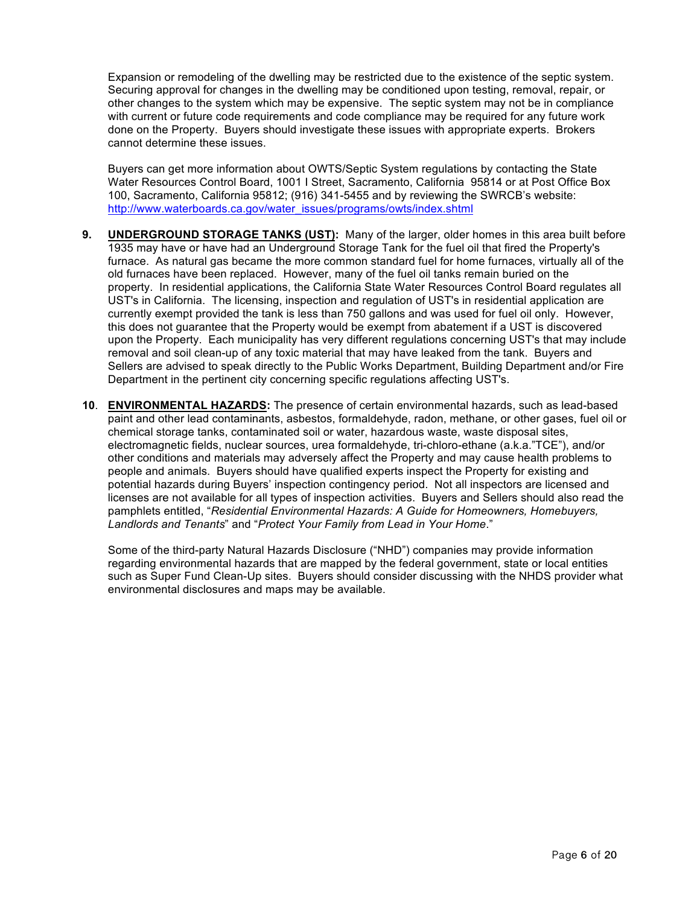Expansion or remodeling of the dwelling may be restricted due to the existence of the septic system. Securing approval for changes in the dwelling may be conditioned upon testing, removal, repair, or other changes to the system which may be expensive. The septic system may not be in compliance with current or future code requirements and code compliance may be required for any future work done on the Property. Buyers should investigate these issues with appropriate experts. Brokers cannot determine these issues.

Buyers can get more information about OWTS/Septic System regulations by contacting the State Water Resources Control Board, 1001 I Street, Sacramento, California 95814 or at Post Office Box 100, Sacramento, California 95812; (916) 341-5455 and by reviewing the SWRCB's website: http://www.waterboards.ca.gov/water\_issues/programs/owts/index.shtml

- **9. UNDERGROUND STORAGE TANKS (UST):** Many of the larger, older homes in this area built before 1935 may have or have had an Underground Storage Tank for the fuel oil that fired the Property's furnace. As natural gas became the more common standard fuel for home furnaces, virtually all of the old furnaces have been replaced. However, many of the fuel oil tanks remain buried on the property. In residential applications, the California State Water Resources Control Board regulates all UST's in California. The licensing, inspection and regulation of UST's in residential application are currently exempt provided the tank is less than 750 gallons and was used for fuel oil only. However, this does not guarantee that the Property would be exempt from abatement if a UST is discovered upon the Property. Each municipality has very different regulations concerning UST's that may include removal and soil clean-up of any toxic material that may have leaked from the tank. Buyers and Sellers are advised to speak directly to the Public Works Department, Building Department and/or Fire Department in the pertinent city concerning specific regulations affecting UST's.
- **10**. **ENVIRONMENTAL HAZARDS:** The presence of certain environmental hazards, such as lead-based paint and other lead contaminants, asbestos, formaldehyde, radon, methane, or other gases, fuel oil or chemical storage tanks, contaminated soil or water, hazardous waste, waste disposal sites, electromagnetic fields, nuclear sources, urea formaldehyde, tri-chloro-ethane (a.k.a."TCE"), and/or other conditions and materials may adversely affect the Property and may cause health problems to people and animals. Buyers should have qualified experts inspect the Property for existing and potential hazards during Buyers' inspection contingency period. Not all inspectors are licensed and licenses are not available for all types of inspection activities. Buyers and Sellers should also read the pamphlets entitled, "*Residential Environmental Hazards: A Guide for Homeowners, Homebuyers, Landlords and Tenants*" and "*Protect Your Family from Lead in Your Home*."

Some of the third-party Natural Hazards Disclosure ("NHD") companies may provide information regarding environmental hazards that are mapped by the federal government, state or local entities such as Super Fund Clean-Up sites. Buyers should consider discussing with the NHDS provider what environmental disclosures and maps may be available.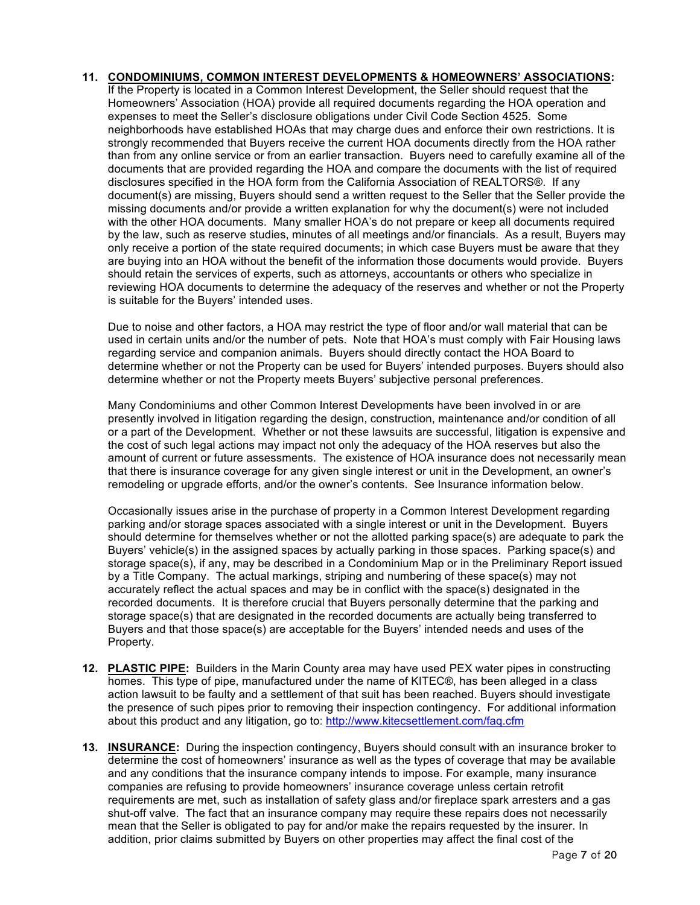### **11. CONDOMINIUMS, COMMON INTEREST DEVELOPMENTS & HOMEOWNERS' ASSOCIATIONS:**

If the Property is located in a Common Interest Development, the Seller should request that the Homeowners' Association (HOA) provide all required documents regarding the HOA operation and expenses to meet the Seller's disclosure obligations under Civil Code Section 4525. Some neighborhoods have established HOAs that may charge dues and enforce their own restrictions. It is strongly recommended that Buyers receive the current HOA documents directly from the HOA rather than from any online service or from an earlier transaction. Buyers need to carefully examine all of the documents that are provided regarding the HOA and compare the documents with the list of required disclosures specified in the HOA form from the California Association of REALTORS®. If any document(s) are missing, Buyers should send a written request to the Seller that the Seller provide the missing documents and/or provide a written explanation for why the document(s) were not included with the other HOA documents. Many smaller HOA's do not prepare or keep all documents required by the law, such as reserve studies, minutes of all meetings and/or financials. As a result, Buyers may only receive a portion of the state required documents; in which case Buyers must be aware that they are buying into an HOA without the benefit of the information those documents would provide. Buyers should retain the services of experts, such as attorneys, accountants or others who specialize in reviewing HOA documents to determine the adequacy of the reserves and whether or not the Property is suitable for the Buyers' intended uses.

Due to noise and other factors, a HOA may restrict the type of floor and/or wall material that can be used in certain units and/or the number of pets. Note that HOA's must comply with Fair Housing laws regarding service and companion animals. Buyers should directly contact the HOA Board to determine whether or not the Property can be used for Buyers' intended purposes. Buyers should also determine whether or not the Property meets Buyers' subjective personal preferences.

Many Condominiums and other Common Interest Developments have been involved in or are presently involved in litigation regarding the design, construction, maintenance and/or condition of all or a part of the Development. Whether or not these lawsuits are successful, litigation is expensive and the cost of such legal actions may impact not only the adequacy of the HOA reserves but also the amount of current or future assessments. The existence of HOA insurance does not necessarily mean that there is insurance coverage for any given single interest or unit in the Development, an owner's remodeling or upgrade efforts, and/or the owner's contents. See Insurance information below.

Occasionally issues arise in the purchase of property in a Common Interest Development regarding parking and/or storage spaces associated with a single interest or unit in the Development. Buyers should determine for themselves whether or not the allotted parking space(s) are adequate to park the Buyers' vehicle(s) in the assigned spaces by actually parking in those spaces. Parking space(s) and storage space(s), if any, may be described in a Condominium Map or in the Preliminary Report issued by a Title Company. The actual markings, striping and numbering of these space(s) may not accurately reflect the actual spaces and may be in conflict with the space(s) designated in the recorded documents. It is therefore crucial that Buyers personally determine that the parking and storage space(s) that are designated in the recorded documents are actually being transferred to Buyers and that those space(s) are acceptable for the Buyers' intended needs and uses of the Property.

- **12. PLASTIC PIPE:** Builders in the Marin County area may have used PEX water pipes in constructing homes. This type of pipe, manufactured under the name of KITEC®, has been alleged in a class action lawsuit to be faulty and a settlement of that suit has been reached. Buyers should investigate the presence of such pipes prior to removing their inspection contingency. For additional information about this product and any litigation, go to: http://www.kitecsettlement.com/faq.cfm
- **13. INSURANCE:** During the inspection contingency, Buyers should consult with an insurance broker to determine the cost of homeowners' insurance as well as the types of coverage that may be available and any conditions that the insurance company intends to impose. For example, many insurance companies are refusing to provide homeowners' insurance coverage unless certain retrofit requirements are met, such as installation of safety glass and/or fireplace spark arresters and a gas shut-off valve. The fact that an insurance company may require these repairs does not necessarily mean that the Seller is obligated to pay for and/or make the repairs requested by the insurer. In addition, prior claims submitted by Buyers on other properties may affect the final cost of the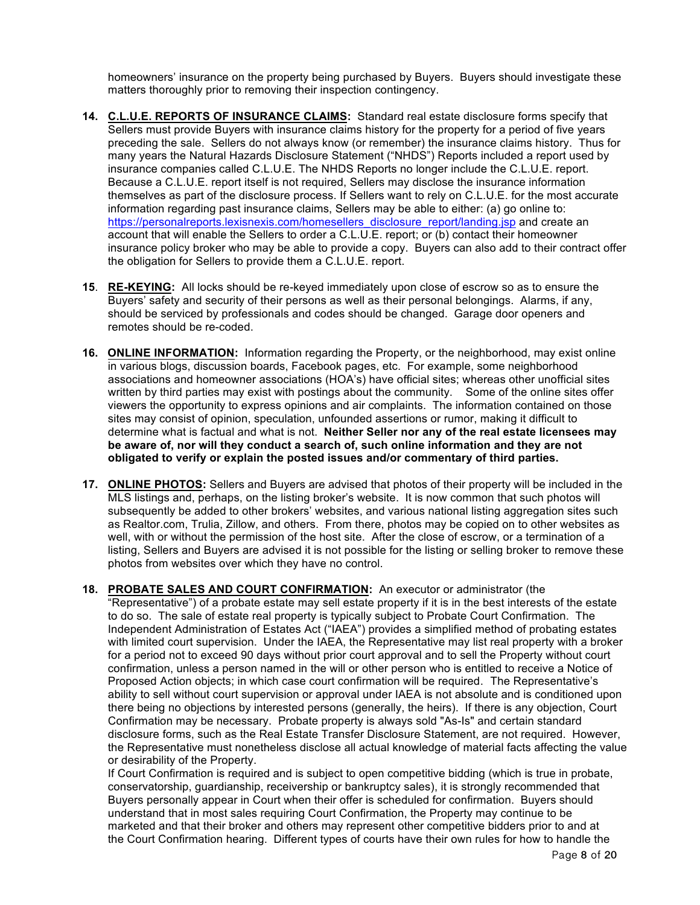homeowners' insurance on the property being purchased by Buyers. Buyers should investigate these matters thoroughly prior to removing their inspection contingency.

- **14. C.L.U.E. REPORTS OF INSURANCE CLAIMS:** Standard real estate disclosure forms specify that Sellers must provide Buyers with insurance claims history for the property for a period of five years preceding the sale. Sellers do not always know (or remember) the insurance claims history. Thus for many years the Natural Hazards Disclosure Statement ("NHDS") Reports included a report used by insurance companies called C.L.U.E. The NHDS Reports no longer include the C.L.U.E. report. Because a C.L.U.E. report itself is not required, Sellers may disclose the insurance information themselves as part of the disclosure process. If Sellers want to rely on C.L.U.E. for the most accurate information regarding past insurance claims, Sellers may be able to either: (a) go online to: https://personalreports.lexisnexis.com/homesellers\_disclosure\_report/landing.jsp and create an account that will enable the Sellers to order a C.L.U.E. report; or (b) contact their homeowner insurance policy broker who may be able to provide a copy. Buyers can also add to their contract offer the obligation for Sellers to provide them a C.L.U.E. report.
- **15**. **RE-KEYING:** All locks should be re-keyed immediately upon close of escrow so as to ensure the Buyers' safety and security of their persons as well as their personal belongings. Alarms, if any, should be serviced by professionals and codes should be changed. Garage door openers and remotes should be re-coded.
- **16. ONLINE INFORMATION:** Information regarding the Property, or the neighborhood, may exist online in various blogs, discussion boards, Facebook pages, etc. For example, some neighborhood associations and homeowner associations (HOA's) have official sites; whereas other unofficial sites written by third parties may exist with postings about the community. Some of the online sites offer viewers the opportunity to express opinions and air complaints. The information contained on those sites may consist of opinion, speculation, unfounded assertions or rumor, making it difficult to determine what is factual and what is not. **Neither Seller nor any of the real estate licensees may be aware of, nor will they conduct a search of, such online information and they are not obligated to verify or explain the posted issues and/or commentary of third parties.**
- **17. ONLINE PHOTOS:** Sellers and Buyers are advised that photos of their property will be included in the MLS listings and, perhaps, on the listing broker's website. It is now common that such photos will subsequently be added to other brokers' websites, and various national listing aggregation sites such as Realtor.com, Trulia, Zillow, and others. From there, photos may be copied on to other websites as well, with or without the permission of the host site. After the close of escrow, or a termination of a listing, Sellers and Buyers are advised it is not possible for the listing or selling broker to remove these photos from websites over which they have no control.
- **18. PROBATE SALES AND COURT CONFIRMATION:** An executor or administrator (the "Representative") of a probate estate may sell estate property if it is in the best interests of the estate to do so. The sale of estate real property is typically subject to Probate Court Confirmation. The Independent Administration of Estates Act ("IAEA") provides a simplified method of probating estates with limited court supervision. Under the IAEA, the Representative may list real property with a broker for a period not to exceed 90 days without prior court approval and to sell the Property without court confirmation, unless a person named in the will or other person who is entitled to receive a Notice of Proposed Action objects; in which case court confirmation will be required. The Representative's ability to sell without court supervision or approval under IAEA is not absolute and is conditioned upon there being no objections by interested persons (generally, the heirs). If there is any objection, Court Confirmation may be necessary. Probate property is always sold "As-Is" and certain standard disclosure forms, such as the Real Estate Transfer Disclosure Statement, are not required. However, the Representative must nonetheless disclose all actual knowledge of material facts affecting the value or desirability of the Property.

If Court Confirmation is required and is subject to open competitive bidding (which is true in probate, conservatorship, guardianship, receivership or bankruptcy sales), it is strongly recommended that Buyers personally appear in Court when their offer is scheduled for confirmation. Buyers should understand that in most sales requiring Court Confirmation, the Property may continue to be marketed and that their broker and others may represent other competitive bidders prior to and at the Court Confirmation hearing. Different types of courts have their own rules for how to handle the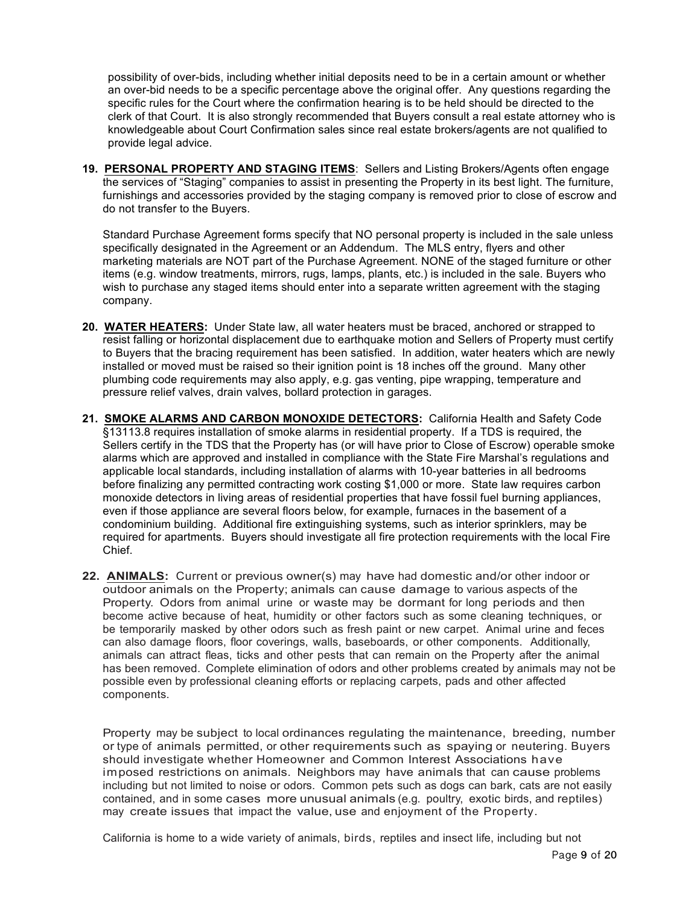possibility of over-bids, including whether initial deposits need to be in a certain amount or whether an over-bid needs to be a specific percentage above the original offer. Any questions regarding the specific rules for the Court where the confirmation hearing is to be held should be directed to the clerk of that Court. It is also strongly recommended that Buyers consult a real estate attorney who is knowledgeable about Court Confirmation sales since real estate brokers/agents are not qualified to provide legal advice.

**19. PERSONAL PROPERTY AND STAGING ITEMS**: Sellers and Listing Brokers/Agents often engage the services of "Staging" companies to assist in presenting the Property in its best light. The furniture, furnishings and accessories provided by the staging company is removed prior to close of escrow and do not transfer to the Buyers.

Standard Purchase Agreement forms specify that NO personal property is included in the sale unless specifically designated in the Agreement or an Addendum. The MLS entry, flyers and other marketing materials are NOT part of the Purchase Agreement. NONE of the staged furniture or other items (e.g. window treatments, mirrors, rugs, lamps, plants, etc.) is included in the sale. Buyers who wish to purchase any staged items should enter into a separate written agreement with the staging company.

- **20. WATER HEATERS:** Under State law, all water heaters must be braced, anchored or strapped to resist falling or horizontal displacement due to earthquake motion and Sellers of Property must certify to Buyers that the bracing requirement has been satisfied. In addition, water heaters which are newly installed or moved must be raised so their ignition point is 18 inches off the ground. Many other plumbing code requirements may also apply, e.g. gas venting, pipe wrapping, temperature and pressure relief valves, drain valves, bollard protection in garages.
- **21. SMOKE ALARMS AND CARBON MONOXIDE DETECTORS:** California Health and Safety Code §13113.8 requires installation of smoke alarms in residential property. If a TDS is required, the Sellers certify in the TDS that the Property has (or will have prior to Close of Escrow) operable smoke alarms which are approved and installed in compliance with the State Fire Marshal's regulations and applicable local standards, including installation of alarms with 10-year batteries in all bedrooms before finalizing any permitted contracting work costing \$1,000 or more. State law requires carbon monoxide detectors in living areas of residential properties that have fossil fuel burning appliances, even if those appliance are several floors below, for example, furnaces in the basement of a condominium building. Additional fire extinguishing systems, such as interior sprinklers, may be required for apartments. Buyers should investigate all fire protection requirements with the local Fire **Chief**
- **22. ANIMALS:** Current or previous owner(s) may have had domestic and/or other indoor or outdoor animals on the Property; animals can cause damage to various aspects of the Property. Odors from animal urine or waste may be dormant for long periods and then become active because of heat, humidity or other factors such as some cleaning techniques, or be temporarily masked by other odors such as fresh paint or new carpet. Animal urine and feces can also damage floors, floor coverings, walls, baseboards, or other components. Additionally, animals can attract fleas, ticks and other pests that can remain on the Property after the animal has been removed. Complete elimination of odors and other problems created by animals may not be possible even by professional cleaning efforts or replacing carpets, pads and other affected components.

Property may be subject to local ordinances regulating the maintenance, breeding, number or type of animals permitted, or other requirements such as spaying or neutering. Buyers should investigate whether Homeowner and Common Interest Associations have imposed restrictions on animals. Neighbors may have animals that can cause problems including but not limited to noise or odors. Common pets such as dogs can bark, cats are not easily contained, and in some cases more unusual animals (e.g. poultry, exotic birds, and reptiles) may create issues that impact the value, use and enjoyment of the Property.

California is home to a wide variety of animals, birds, reptiles and insect life, including but not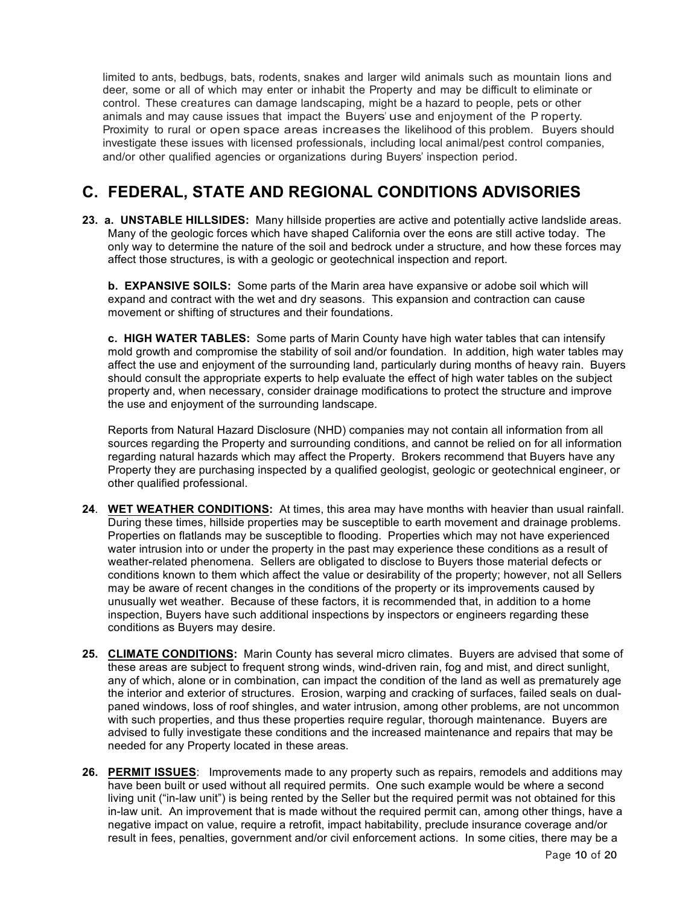limited to ants, bedbugs, bats, rodents, snakes and larger wild animals such as mountain lions and deer, some or all of which may enter or inhabit the Property and may be difficult to eliminate or control. These creatures can damage landscaping, might be a hazard to people, pets or other animals and may cause issues that impact the Buyers' use and enjoyment of the P roperty. Proximity to rural or open space areas increases the likelihood of this problem. Buyers should investigate these issues with licensed professionals, including local animal/pest control companies, and/or other qualified agencies or organizations during Buyers' inspection period.

# **C. FEDERAL, STATE AND REGIONAL CONDITIONS ADVISORIES**

**23. a. UNSTABLE HILLSIDES:** Many hillside properties are active and potentially active landslide areas. Many of the geologic forces which have shaped California over the eons are still active today. The only way to determine the nature of the soil and bedrock under a structure, and how these forces may affect those structures, is with a geologic or geotechnical inspection and report.

**b. EXPANSIVE SOILS:** Some parts of the Marin area have expansive or adobe soil which will expand and contract with the wet and dry seasons. This expansion and contraction can cause movement or shifting of structures and their foundations.

**c. HIGH WATER TABLES:** Some parts of Marin County have high water tables that can intensify mold growth and compromise the stability of soil and/or foundation. In addition, high water tables may affect the use and enjoyment of the surrounding land, particularly during months of heavy rain. Buyers should consult the appropriate experts to help evaluate the effect of high water tables on the subject property and, when necessary, consider drainage modifications to protect the structure and improve the use and enjoyment of the surrounding landscape.

Reports from Natural Hazard Disclosure (NHD) companies may not contain all information from all sources regarding the Property and surrounding conditions, and cannot be relied on for all information regarding natural hazards which may affect the Property. Brokers recommend that Buyers have any Property they are purchasing inspected by a qualified geologist, geologic or geotechnical engineer, or other qualified professional.

- **24**. **WET WEATHER CONDITIONS:** At times, this area may have months with heavier than usual rainfall. During these times, hillside properties may be susceptible to earth movement and drainage problems. Properties on flatlands may be susceptible to flooding. Properties which may not have experienced water intrusion into or under the property in the past may experience these conditions as a result of weather-related phenomena. Sellers are obligated to disclose to Buyers those material defects or conditions known to them which affect the value or desirability of the property; however, not all Sellers may be aware of recent changes in the conditions of the property or its improvements caused by unusually wet weather. Because of these factors, it is recommended that, in addition to a home inspection, Buyers have such additional inspections by inspectors or engineers regarding these conditions as Buyers may desire.
- **25. CLIMATE CONDITIONS:** Marin County has several micro climates. Buyers are advised that some of these areas are subject to frequent strong winds, wind-driven rain, fog and mist, and direct sunlight, any of which, alone or in combination, can impact the condition of the land as well as prematurely age the interior and exterior of structures. Erosion, warping and cracking of surfaces, failed seals on dualpaned windows, loss of roof shingles, and water intrusion, among other problems, are not uncommon with such properties, and thus these properties require regular, thorough maintenance. Buyers are advised to fully investigate these conditions and the increased maintenance and repairs that may be needed for any Property located in these areas.
- **26. PERMIT ISSUES**: Improvements made to any property such as repairs, remodels and additions may have been built or used without all required permits. One such example would be where a second living unit ("in-law unit") is being rented by the Seller but the required permit was not obtained for this in-law unit. An improvement that is made without the required permit can, among other things, have a negative impact on value, require a retrofit, impact habitability, preclude insurance coverage and/or result in fees, penalties, government and/or civil enforcement actions. In some cities, there may be a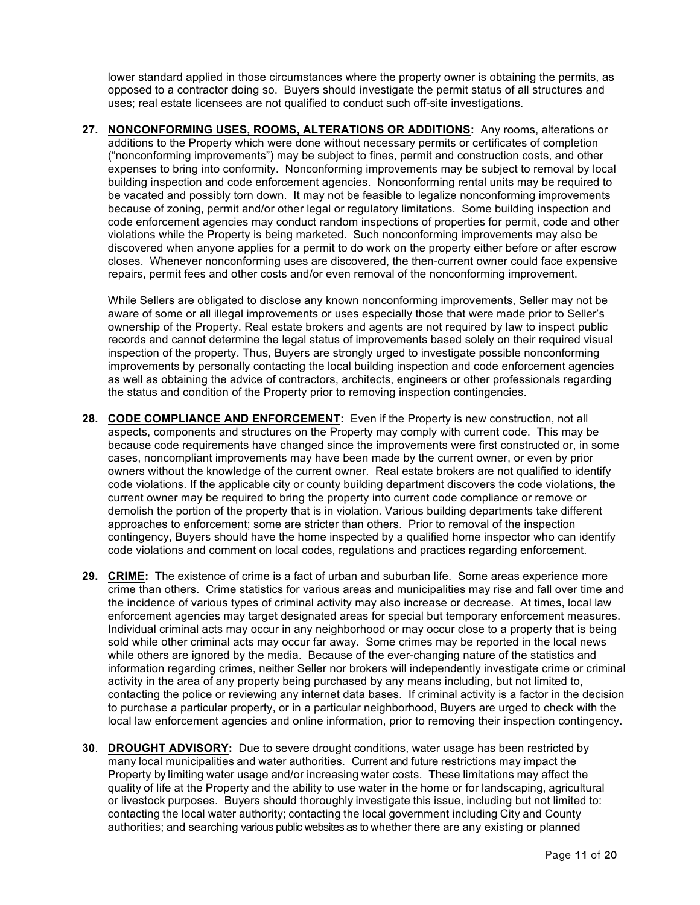lower standard applied in those circumstances where the property owner is obtaining the permits, as opposed to a contractor doing so. Buyers should investigate the permit status of all structures and uses; real estate licensees are not qualified to conduct such off-site investigations.

**27. NONCONFORMING USES, ROOMS, ALTERATIONS OR ADDITIONS:** Any rooms, alterations or additions to the Property which were done without necessary permits or certificates of completion ("nonconforming improvements") may be subject to fines, permit and construction costs, and other expenses to bring into conformity. Nonconforming improvements may be subject to removal by local building inspection and code enforcement agencies. Nonconforming rental units may be required to be vacated and possibly torn down. It may not be feasible to legalize nonconforming improvements because of zoning, permit and/or other legal or regulatory limitations. Some building inspection and code enforcement agencies may conduct random inspections of properties for permit, code and other violations while the Property is being marketed. Such nonconforming improvements may also be discovered when anyone applies for a permit to do work on the property either before or after escrow closes. Whenever nonconforming uses are discovered, the then-current owner could face expensive repairs, permit fees and other costs and/or even removal of the nonconforming improvement.

While Sellers are obligated to disclose any known nonconforming improvements, Seller may not be aware of some or all illegal improvements or uses especially those that were made prior to Seller's ownership of the Property. Real estate brokers and agents are not required by law to inspect public records and cannot determine the legal status of improvements based solely on their required visual inspection of the property. Thus, Buyers are strongly urged to investigate possible nonconforming improvements by personally contacting the local building inspection and code enforcement agencies as well as obtaining the advice of contractors, architects, engineers or other professionals regarding the status and condition of the Property prior to removing inspection contingencies.

- **28. CODE COMPLIANCE AND ENFORCEMENT:** Even if the Property is new construction, not all aspects, components and structures on the Property may comply with current code. This may be because code requirements have changed since the improvements were first constructed or, in some cases, noncompliant improvements may have been made by the current owner, or even by prior owners without the knowledge of the current owner. Real estate brokers are not qualified to identify code violations. If the applicable city or county building department discovers the code violations, the current owner may be required to bring the property into current code compliance or remove or demolish the portion of the property that is in violation. Various building departments take different approaches to enforcement; some are stricter than others. Prior to removal of the inspection contingency, Buyers should have the home inspected by a qualified home inspector who can identify code violations and comment on local codes, regulations and practices regarding enforcement.
- **29. CRIME:** The existence of crime is a fact of urban and suburban life. Some areas experience more crime than others. Crime statistics for various areas and municipalities may rise and fall over time and the incidence of various types of criminal activity may also increase or decrease. At times, local law enforcement agencies may target designated areas for special but temporary enforcement measures. Individual criminal acts may occur in any neighborhood or may occur close to a property that is being sold while other criminal acts may occur far away. Some crimes may be reported in the local news while others are ignored by the media. Because of the ever-changing nature of the statistics and information regarding crimes, neither Seller nor brokers will independently investigate crime or criminal activity in the area of any property being purchased by any means including, but not limited to, contacting the police or reviewing any internet data bases. If criminal activity is a factor in the decision to purchase a particular property, or in a particular neighborhood, Buyers are urged to check with the local law enforcement agencies and online information, prior to removing their inspection contingency.
- **30**. **DROUGHT ADVISORY:** Due to severe drought conditions, water usage has been restricted by many local municipalities and water authorities. Current and future restrictions may impact the Property by limiting water usage and/or increasing water costs. These limitations may affect the quality of life at the Property and the ability to use water in the home or for landscaping, agricultural or livestock purposes. Buyers should thoroughly investigate this issue, including but not limited to: contacting the local water authority; contacting the local government including City and County authorities; and searching various public websites as to whether there are any existing or planned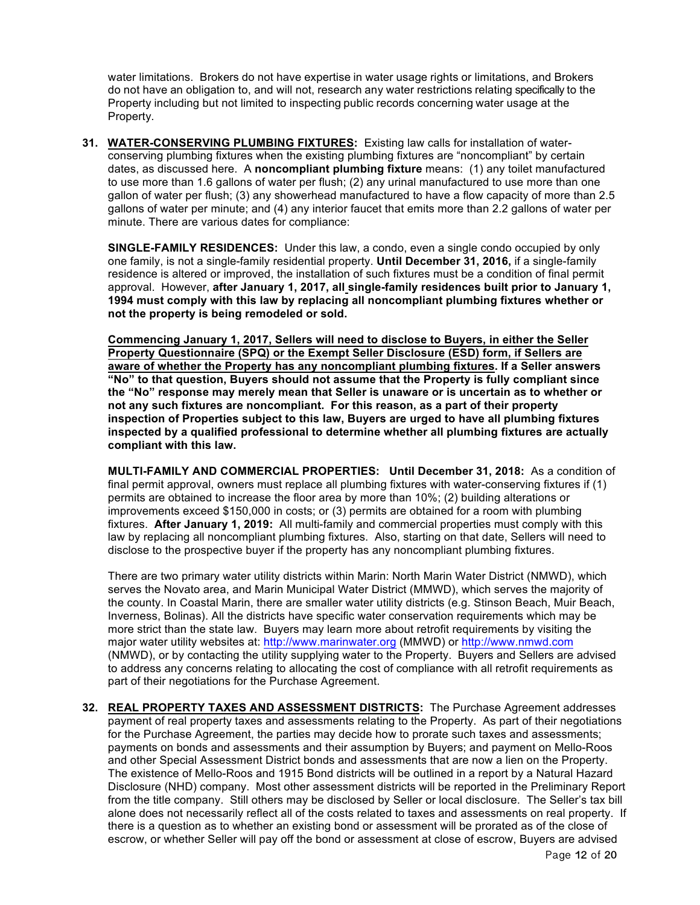water limitations. Brokers do not have expertise in water usage rights or limitations, and Brokers do not have an obligation to, and will not, research any water restrictions relating specifically to the Property including but not limited to inspecting public records concerning water usage at the Property.

**31. WATER-CONSERVING PLUMBING FIXTURES:** Existing law calls for installation of waterconserving plumbing fixtures when the existing plumbing fixtures are "noncompliant" by certain dates, as discussed here. A **noncompliant plumbing fixture** means: (1) any toilet manufactured to use more than 1.6 gallons of water per flush; (2) any urinal manufactured to use more than one gallon of water per flush; (3) any showerhead manufactured to have a flow capacity of more than 2.5 gallons of water per minute; and (4) any interior faucet that emits more than 2.2 gallons of water per minute. There are various dates for compliance:

**SINGLE-FAMILY RESIDENCES:** Under this law, a condo, even a single condo occupied by only one family, is not a single-family residential property. **Until December 31, 2016,** if a single-family residence is altered or improved, the installation of such fixtures must be a condition of final permit approval. However, **after January 1, 2017, all single-family residences built prior to January 1, 1994 must comply with this law by replacing all noncompliant plumbing fixtures whether or not the property is being remodeled or sold.** 

**Commencing January 1, 2017, Sellers will need to disclose to Buyers, in either the Seller Property Questionnaire (SPQ) or the Exempt Seller Disclosure (ESD) form, if Sellers are aware of whether the Property has any noncompliant plumbing fixtures. If a Seller answers "No" to that question, Buyers should not assume that the Property is fully compliant since the "No" response may merely mean that Seller is unaware or is uncertain as to whether or not any such fixtures are noncompliant. For this reason, as a part of their property inspection of Properties subject to this law, Buyers are urged to have all plumbing fixtures inspected by a qualified professional to determine whether all plumbing fixtures are actually compliant with this law.**

**MULTI-FAMILY AND COMMERCIAL PROPERTIES: Until December 31, 2018:** As a condition of final permit approval, owners must replace all plumbing fixtures with water-conserving fixtures if (1) permits are obtained to increase the floor area by more than 10%; (2) building alterations or improvements exceed \$150,000 in costs; or (3) permits are obtained for a room with plumbing fixtures. **After January 1, 2019:** All multi-family and commercial properties must comply with this law by replacing all noncompliant plumbing fixtures. Also, starting on that date, Sellers will need to disclose to the prospective buyer if the property has any noncompliant plumbing fixtures.

There are two primary water utility districts within Marin: North Marin Water District (NMWD), which serves the Novato area, and Marin Municipal Water District (MMWD), which serves the majority of the county. In Coastal Marin, there are smaller water utility districts (e.g. Stinson Beach, Muir Beach, Inverness, Bolinas). All the districts have specific water conservation requirements which may be more strict than the state law. Buyers may learn more about retrofit requirements by visiting the major water utility websites at: http://www.marinwater.org (MMWD) or http://www.nmwd.com (NMWD), or by contacting the utility supplying water to the Property. Buyers and Sellers are advised to address any concerns relating to allocating the cost of compliance with all retrofit requirements as part of their negotiations for the Purchase Agreement.

**32. REAL PROPERTY TAXES AND ASSESSMENT DISTRICTS:** The Purchase Agreement addresses payment of real property taxes and assessments relating to the Property. As part of their negotiations for the Purchase Agreement, the parties may decide how to prorate such taxes and assessments; payments on bonds and assessments and their assumption by Buyers; and payment on Mello-Roos and other Special Assessment District bonds and assessments that are now a lien on the Property. The existence of Mello-Roos and 1915 Bond districts will be outlined in a report by a Natural Hazard Disclosure (NHD) company. Most other assessment districts will be reported in the Preliminary Report from the title company. Still others may be disclosed by Seller or local disclosure. The Seller's tax bill alone does not necessarily reflect all of the costs related to taxes and assessments on real property. If there is a question as to whether an existing bond or assessment will be prorated as of the close of escrow, or whether Seller will pay off the bond or assessment at close of escrow, Buyers are advised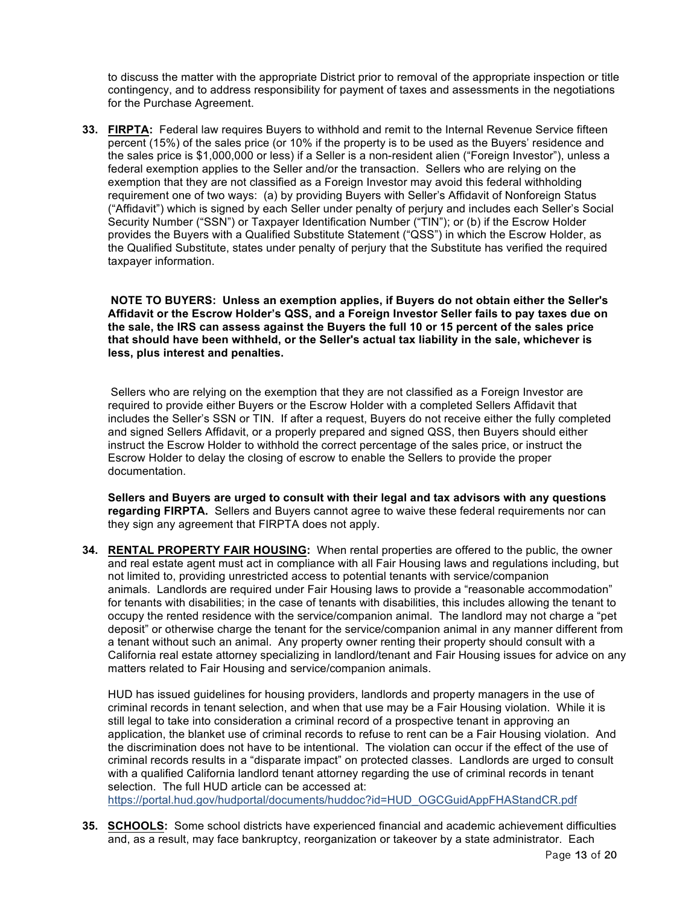to discuss the matter with the appropriate District prior to removal of the appropriate inspection or title contingency, and to address responsibility for payment of taxes and assessments in the negotiations for the Purchase Agreement.

**33. FIRPTA:** Federal law requires Buyers to withhold and remit to the Internal Revenue Service fifteen percent (15%) of the sales price (or 10% if the property is to be used as the Buyers' residence and the sales price is \$1,000,000 or less) if a Seller is a non-resident alien ("Foreign Investor"), unless a federal exemption applies to the Seller and/or the transaction. Sellers who are relying on the exemption that they are not classified as a Foreign Investor may avoid this federal withholding requirement one of two ways: (a) by providing Buyers with Seller's Affidavit of Nonforeign Status ("Affidavit") which is signed by each Seller under penalty of perjury and includes each Seller's Social Security Number ("SSN") or Taxpayer Identification Number ("TIN"); or (b) if the Escrow Holder provides the Buyers with a Qualified Substitute Statement ("QSS") in which the Escrow Holder, as the Qualified Substitute, states under penalty of perjury that the Substitute has verified the required taxpayer information.

 **NOTE TO BUYERS: Unless an exemption applies, if Buyers do not obtain either the Seller's Affidavit or the Escrow Holder's QSS, and a Foreign Investor Seller fails to pay taxes due on the sale, the IRS can assess against the Buyers the full 10 or 15 percent of the sales price that should have been withheld, or the Seller's actual tax liability in the sale, whichever is less, plus interest and penalties.** 

Sellers who are relying on the exemption that they are not classified as a Foreign Investor are required to provide either Buyers or the Escrow Holder with a completed Sellers Affidavit that includes the Seller's SSN or TIN. If after a request, Buyers do not receive either the fully completed and signed Sellers Affidavit, or a properly prepared and signed QSS, then Buyers should either instruct the Escrow Holder to withhold the correct percentage of the sales price, or instruct the Escrow Holder to delay the closing of escrow to enable the Sellers to provide the proper documentation.

**Sellers and Buyers are urged to consult with their legal and tax advisors with any questions regarding FIRPTA.** Sellers and Buyers cannot agree to waive these federal requirements nor can they sign any agreement that FIRPTA does not apply.

**34. RENTAL PROPERTY FAIR HOUSING:** When rental properties are offered to the public, the owner and real estate agent must act in compliance with all Fair Housing laws and regulations including, but not limited to, providing unrestricted access to potential tenants with service/companion animals. Landlords are required under Fair Housing laws to provide a "reasonable accommodation" for tenants with disabilities; in the case of tenants with disabilities, this includes allowing the tenant to occupy the rented residence with the service/companion animal. The landlord may not charge a "pet deposit" or otherwise charge the tenant for the service/companion animal in any manner different from a tenant without such an animal. Any property owner renting their property should consult with a California real estate attorney specializing in landlord/tenant and Fair Housing issues for advice on any matters related to Fair Housing and service/companion animals.

HUD has issued guidelines for housing providers, landlords and property managers in the use of criminal records in tenant selection, and when that use may be a Fair Housing violation. While it is still legal to take into consideration a criminal record of a prospective tenant in approving an application, the blanket use of criminal records to refuse to rent can be a Fair Housing violation. And the discrimination does not have to be intentional. The violation can occur if the effect of the use of criminal records results in a "disparate impact" on protected classes. Landlords are urged to consult with a qualified California landlord tenant attorney regarding the use of criminal records in tenant selection. The full HUD article can be accessed at: https://portal.hud.gov/hudportal/documents/huddoc?id=HUD\_OGCGuidAppFHAStandCR.pdf

**35. SCHOOLS:** Some school districts have experienced financial and academic achievement difficulties and, as a result, may face bankruptcy, reorganization or takeover by a state administrator. Each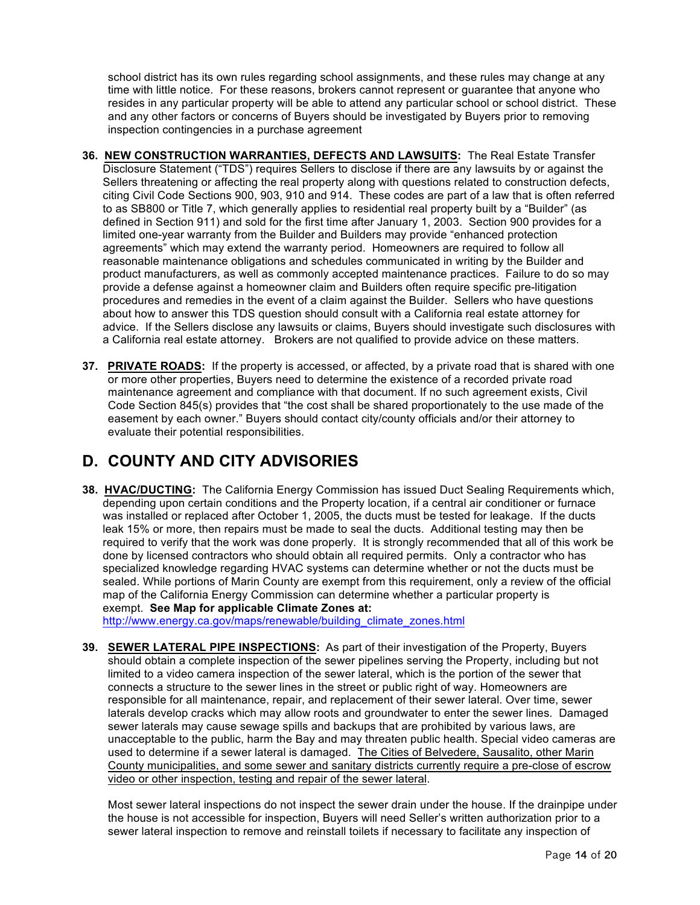school district has its own rules regarding school assignments, and these rules may change at any time with little notice. For these reasons, brokers cannot represent or guarantee that anyone who resides in any particular property will be able to attend any particular school or school district. These and any other factors or concerns of Buyers should be investigated by Buyers prior to removing inspection contingencies in a purchase agreement

- **36. NEW CONSTRUCTION WARRANTIES, DEFECTS AND LAWSUITS:** The Real Estate Transfer Disclosure Statement ("TDS") requires Sellers to disclose if there are any lawsuits by or against the Sellers threatening or affecting the real property along with questions related to construction defects, citing Civil Code Sections 900, 903, 910 and 914. These codes are part of a law that is often referred to as SB800 or Title 7, which generally applies to residential real property built by a "Builder" (as defined in Section 911) and sold for the first time after January 1, 2003. Section 900 provides for a limited one-year warranty from the Builder and Builders may provide "enhanced protection agreements" which may extend the warranty period. Homeowners are required to follow all reasonable maintenance obligations and schedules communicated in writing by the Builder and product manufacturers, as well as commonly accepted maintenance practices. Failure to do so may provide a defense against a homeowner claim and Builders often require specific pre-litigation procedures and remedies in the event of a claim against the Builder. Sellers who have questions about how to answer this TDS question should consult with a California real estate attorney for advice. If the Sellers disclose any lawsuits or claims, Buyers should investigate such disclosures with a California real estate attorney. Brokers are not qualified to provide advice on these matters.
- **37. PRIVATE ROADS:** If the property is accessed, or affected, by a private road that is shared with one or more other properties, Buyers need to determine the existence of a recorded private road maintenance agreement and compliance with that document. If no such agreement exists, Civil Code Section 845(s) provides that "the cost shall be shared proportionately to the use made of the easement by each owner." Buyers should contact city/county officials and/or their attorney to evaluate their potential responsibilities.

# **D. COUNTY AND CITY ADVISORIES**

**38. HVAC/DUCTING:** The California Energy Commission has issued Duct Sealing Requirements which, depending upon certain conditions and the Property location, if a central air conditioner or furnace was installed or replaced after October 1, 2005, the ducts must be tested for leakage. If the ducts leak 15% or more, then repairs must be made to seal the ducts. Additional testing may then be required to verify that the work was done properly. It is strongly recommended that all of this work be done by licensed contractors who should obtain all required permits. Only a contractor who has specialized knowledge regarding HVAC systems can determine whether or not the ducts must be sealed. While portions of Marin County are exempt from this requirement, only a review of the official map of the California Energy Commission can determine whether a particular property is exempt. **See Map for applicable Climate Zones at:** 

http://www.energy.ca.gov/maps/renewable/building\_climate\_zones.html

**39. SEWER LATERAL PIPE INSPECTIONS:** As part of their investigation of the Property, Buyers should obtain a complete inspection of the sewer pipelines serving the Property, including but not limited to a video camera inspection of the sewer lateral, which is the portion of the sewer that connects a structure to the sewer lines in the street or public right of way. Homeowners are responsible for all maintenance, repair, and replacement of their sewer lateral. Over time, sewer laterals develop cracks which may allow roots and groundwater to enter the sewer lines. Damaged sewer laterals may cause sewage spills and backups that are prohibited by various laws, are unacceptable to the public, harm the Bay and may threaten public health. Special video cameras are used to determine if a sewer lateral is damaged. The Cities of Belvedere, Sausalito, other Marin County municipalities, and some sewer and sanitary districts currently require a pre-close of escrow video or other inspection, testing and repair of the sewer lateral.

Most sewer lateral inspections do not inspect the sewer drain under the house. If the drainpipe under the house is not accessible for inspection, Buyers will need Seller's written authorization prior to a sewer lateral inspection to remove and reinstall toilets if necessary to facilitate any inspection of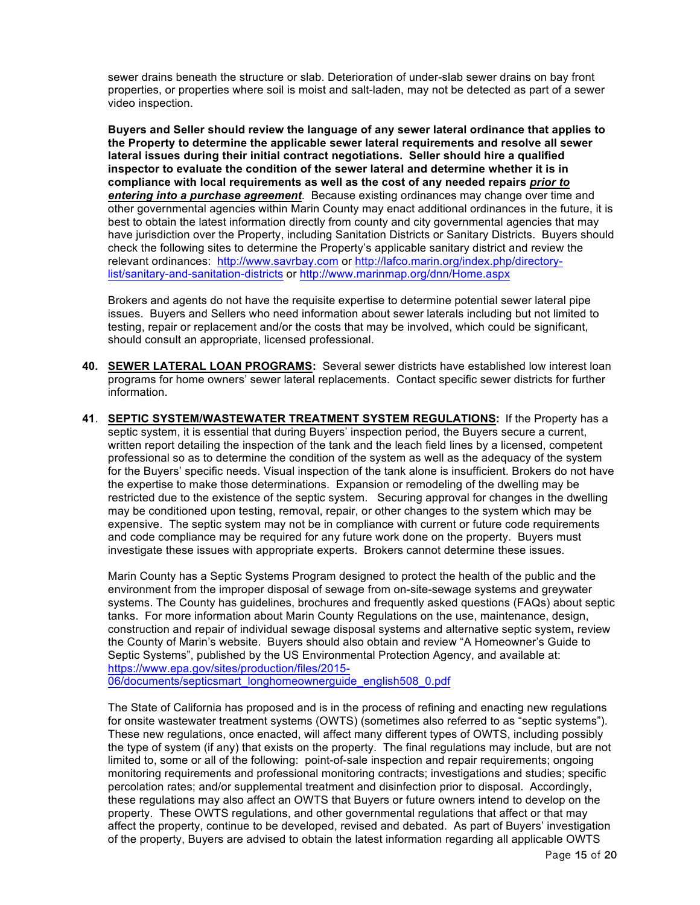sewer drains beneath the structure or slab. Deterioration of under-slab sewer drains on bay front properties, or properties where soil is moist and salt-laden, may not be detected as part of a sewer video inspection.

**Buyers and Seller should review the language of any sewer lateral ordinance that applies to the Property to determine the applicable sewer lateral requirements and resolve all sewer lateral issues during their initial contract negotiations. Seller should hire a qualified inspector to evaluate the condition of the sewer lateral and determine whether it is in compliance with local requirements as well as the cost of any needed repairs** *prior to entering into a purchase agreement*. Because existing ordinances may change over time and other governmental agencies within Marin County may enact additional ordinances in the future, it is best to obtain the latest information directly from county and city governmental agencies that may have jurisdiction over the Property, including Sanitation Districts or Sanitary Districts. Buyers should check the following sites to determine the Property's applicable sanitary district and review the relevant ordinances: http://www.savrbay.com or http://lafco.marin.org/index.php/directorylist/sanitary-and-sanitation-districts or http://www.marinmap.org/dnn/Home.aspx

Brokers and agents do not have the requisite expertise to determine potential sewer lateral pipe issues. Buyers and Sellers who need information about sewer laterals including but not limited to testing, repair or replacement and/or the costs that may be involved, which could be significant, should consult an appropriate, licensed professional.

- **40. SEWER LATERAL LOAN PROGRAMS:** Several sewer districts have established low interest loan programs for home owners' sewer lateral replacements. Contact specific sewer districts for further information.
- **41**. **SEPTIC SYSTEM/WASTEWATER TREATMENT SYSTEM REGULATIONS:** If the Property has a septic system, it is essential that during Buyers' inspection period, the Buyers secure a current, written report detailing the inspection of the tank and the leach field lines by a licensed, competent professional so as to determine the condition of the system as well as the adequacy of the system for the Buyers' specific needs. Visual inspection of the tank alone is insufficient. Brokers do not have the expertise to make those determinations. Expansion or remodeling of the dwelling may be restricted due to the existence of the septic system. Securing approval for changes in the dwelling may be conditioned upon testing, removal, repair, or other changes to the system which may be expensive. The septic system may not be in compliance with current or future code requirements and code compliance may be required for any future work done on the property. Buyers must investigate these issues with appropriate experts. Brokers cannot determine these issues.

Marin County has a Septic Systems Program designed to protect the health of the public and the environment from the improper disposal of sewage from on-site-sewage systems and greywater systems. The County has guidelines, brochures and frequently asked questions (FAQs) about septic tanks. For more information about Marin County Regulations on the use, maintenance, design, construction and repair of individual sewage disposal systems and alternative septic system**,** review the County of Marin's website. Buyers should also obtain and review "A Homeowner's Guide to Septic Systems", published by the US Environmental Protection Agency, and available at: https://www.epa.gov/sites/production/files/2015- 06/documents/septicsmart\_longhomeownerguide\_english508\_0.pdf

The State of California has proposed and is in the process of refining and enacting new regulations for onsite wastewater treatment systems (OWTS) (sometimes also referred to as "septic systems"). These new regulations, once enacted, will affect many different types of OWTS, including possibly the type of system (if any) that exists on the property. The final regulations may include, but are not limited to, some or all of the following: point-of-sale inspection and repair requirements; ongoing monitoring requirements and professional monitoring contracts; investigations and studies; specific percolation rates; and/or supplemental treatment and disinfection prior to disposal. Accordingly, these regulations may also affect an OWTS that Buyers or future owners intend to develop on the property. These OWTS regulations, and other governmental regulations that affect or that may affect the property, continue to be developed, revised and debated. As part of Buyers' investigation of the property, Buyers are advised to obtain the latest information regarding all applicable OWTS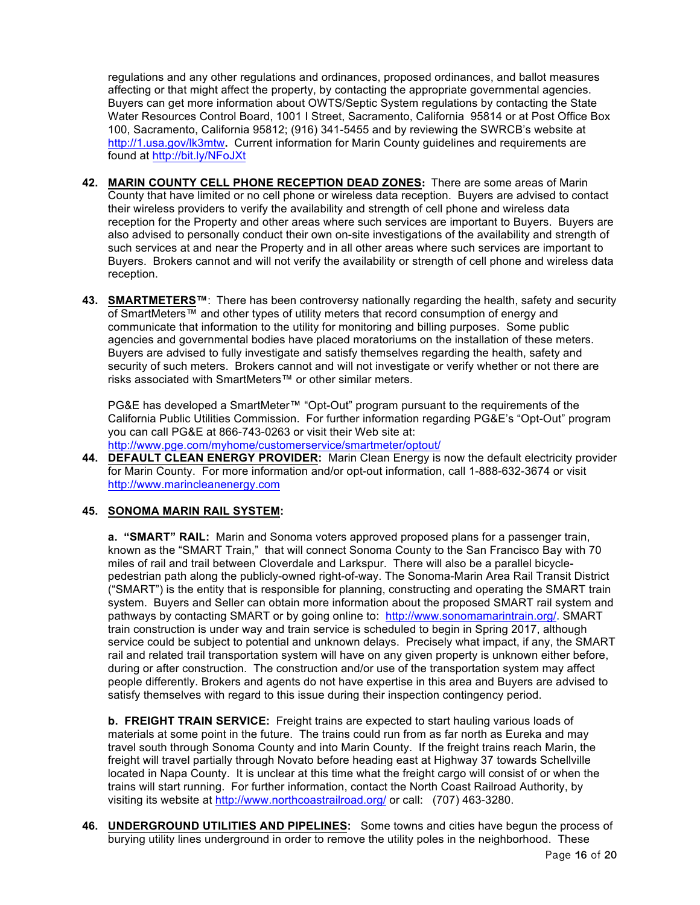regulations and any other regulations and ordinances, proposed ordinances, and ballot measures affecting or that might affect the property, by contacting the appropriate governmental agencies. Buyers can get more information about OWTS/Septic System regulations by contacting the State Water Resources Control Board, 1001 I Street, Sacramento, California 95814 or at Post Office Box 100, Sacramento, California 95812; (916) 341-5455 and by reviewing the SWRCB's website at http://1.usa.gov/lk3mtw**.** Current information for Marin County guidelines and requirements are found at http://bit.ly/NFoJXt

- **42. MARIN COUNTY CELL PHONE RECEPTION DEAD ZONES:** There are some areas of Marin County that have limited or no cell phone or wireless data reception. Buyers are advised to contact their wireless providers to verify the availability and strength of cell phone and wireless data reception for the Property and other areas where such services are important to Buyers. Buyers are also advised to personally conduct their own on-site investigations of the availability and strength of such services at and near the Property and in all other areas where such services are important to Buyers. Brokers cannot and will not verify the availability or strength of cell phone and wireless data reception.
- **43. SMARTMETERS™**: There has been controversy nationally regarding the health, safety and security of SmartMeters™ and other types of utility meters that record consumption of energy and communicate that information to the utility for monitoring and billing purposes. Some public agencies and governmental bodies have placed moratoriums on the installation of these meters. Buyers are advised to fully investigate and satisfy themselves regarding the health, safety and security of such meters. Brokers cannot and will not investigate or verify whether or not there are risks associated with SmartMeters™ or other similar meters.

PG&E has developed a SmartMeter™ "Opt-Out" program pursuant to the requirements of the California Public Utilities Commission. For further information regarding PG&E's "Opt-Out" program you can call PG&E at 866-743-0263 or visit their Web site at: http://www.pge.com/myhome/customerservice/smartmeter/optout/

**44. DEFAULT CLEAN ENERGY PROVIDER:** Marin Clean Energy is now the default electricity provider for Marin County. For more information and/or opt-out information, call 1-888-632-3674 or visit http://www.marincleanenergy.com

### **45. SONOMA MARIN RAIL SYSTEM:**

**a. "SMART" RAIL:** Marin and Sonoma voters approved proposed plans for a passenger train, known as the "SMART Train," that will connect Sonoma County to the San Francisco Bay with 70 miles of rail and trail between Cloverdale and Larkspur. There will also be a parallel bicyclepedestrian path along the publicly-owned right-of-way. The Sonoma-Marin Area Rail Transit District ("SMART") is the entity that is responsible for planning, constructing and operating the SMART train system. Buyers and Seller can obtain more information about the proposed SMART rail system and pathways by contacting SMART or by going online to: http://www.sonomamarintrain.org/**.** SMART train construction is under way and train service is scheduled to begin in Spring 2017, although service could be subject to potential and unknown delays. Precisely what impact, if any, the SMART rail and related trail transportation system will have on any given property is unknown either before, during or after construction. The construction and/or use of the transportation system may affect people differently. Brokers and agents do not have expertise in this area and Buyers are advised to satisfy themselves with regard to this issue during their inspection contingency period.

**b. FREIGHT TRAIN SERVICE:** Freight trains are expected to start hauling various loads of materials at some point in the future. The trains could run from as far north as Eureka and may travel south through Sonoma County and into Marin County. If the freight trains reach Marin, the freight will travel partially through Novato before heading east at Highway 37 towards Schellville located in Napa County. It is unclear at this time what the freight cargo will consist of or when the trains will start running. For further information, contact the North Coast Railroad Authority, by visiting its website at http://www.northcoastrailroad.org/ or call: (707) 463-3280.

**46. UNDERGROUND UTILITIES AND PIPELINES:** Some towns and cities have begun the process of burying utility lines underground in order to remove the utility poles in the neighborhood. These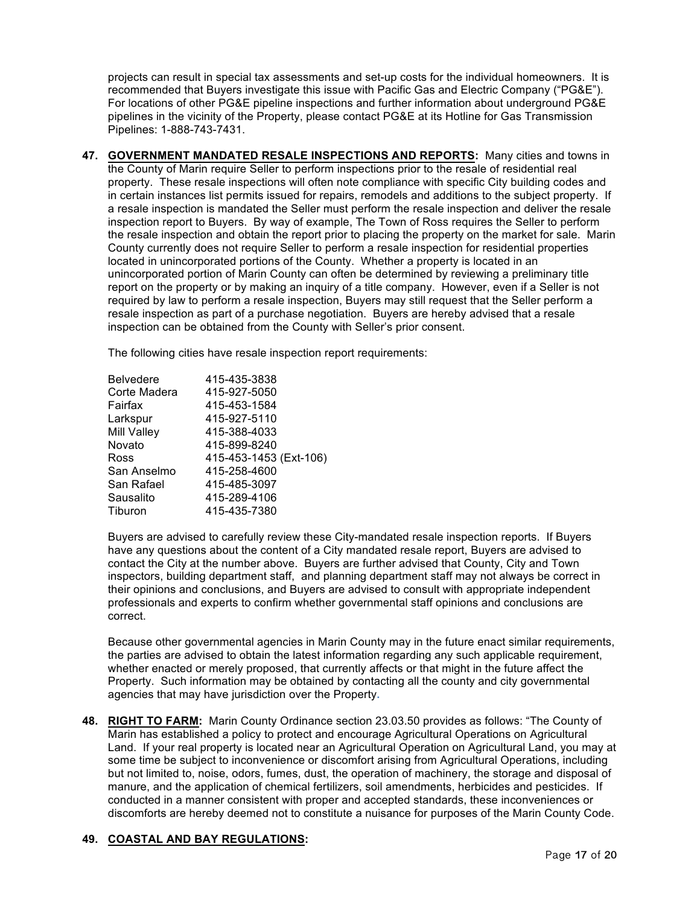projects can result in special tax assessments and set-up costs for the individual homeowners. It is recommended that Buyers investigate this issue with Pacific Gas and Electric Company ("PG&E"). For locations of other PG&E pipeline inspections and further information about underground PG&E pipelines in the vicinity of the Property, please contact PG&E at its Hotline for Gas Transmission Pipelines: 1-888-743-7431.

**47. GOVERNMENT MANDATED RESALE INSPECTIONS AND REPORTS:** Many cities and towns in the County of Marin require Seller to perform inspections prior to the resale of residential real property. These resale inspections will often note compliance with specific City building codes and in certain instances list permits issued for repairs, remodels and additions to the subject property. If a resale inspection is mandated the Seller must perform the resale inspection and deliver the resale inspection report to Buyers. By way of example, The Town of Ross requires the Seller to perform the resale inspection and obtain the report prior to placing the property on the market for sale. Marin County currently does not require Seller to perform a resale inspection for residential properties located in unincorporated portions of the County. Whether a property is located in an unincorporated portion of Marin County can often be determined by reviewing a preliminary title report on the property or by making an inquiry of a title company. However, even if a Seller is not required by law to perform a resale inspection, Buyers may still request that the Seller perform a resale inspection as part of a purchase negotiation. Buyers are hereby advised that a resale inspection can be obtained from the County with Seller's prior consent.

The following cities have resale inspection report requirements:

| Belvedere    | 415-435-3838           |
|--------------|------------------------|
| Corte Madera | 415-927-5050           |
| Fairfax      | 415-453-1584           |
| Larkspur     | 415-927-5110           |
| Mill Valley  | 415-388-4033           |
| Novato       | 415-899-8240           |
| Ross         | 415-453-1453 (Ext-106) |
| San Anselmo  | 415-258-4600           |
| San Rafael   | 415-485-3097           |
| Sausalito    | 415-289-4106           |
| Tiburon      | 415-435-7380           |
|              |                        |

Buyers are advised to carefully review these City-mandated resale inspection reports. If Buyers have any questions about the content of a City mandated resale report, Buyers are advised to contact the City at the number above. Buyers are further advised that County, City and Town inspectors, building department staff, and planning department staff may not always be correct in their opinions and conclusions, and Buyers are advised to consult with appropriate independent professionals and experts to confirm whether governmental staff opinions and conclusions are correct.

Because other governmental agencies in Marin County may in the future enact similar requirements, the parties are advised to obtain the latest information regarding any such applicable requirement, whether enacted or merely proposed, that currently affects or that might in the future affect the Property. Such information may be obtained by contacting all the county and city governmental agencies that may have jurisdiction over the Property**.**

**48. RIGHT TO FARM:** Marin County Ordinance section 23.03.50 provides as follows: "The County of Marin has established a policy to protect and encourage Agricultural Operations on Agricultural Land. If your real property is located near an Agricultural Operation on Agricultural Land, you may at some time be subject to inconvenience or discomfort arising from Agricultural Operations, including but not limited to, noise, odors, fumes, dust, the operation of machinery, the storage and disposal of manure, and the application of chemical fertilizers, soil amendments, herbicides and pesticides. If conducted in a manner consistent with proper and accepted standards, these inconveniences or discomforts are hereby deemed not to constitute a nuisance for purposes of the Marin County Code.

### **49. COASTAL AND BAY REGULATIONS:**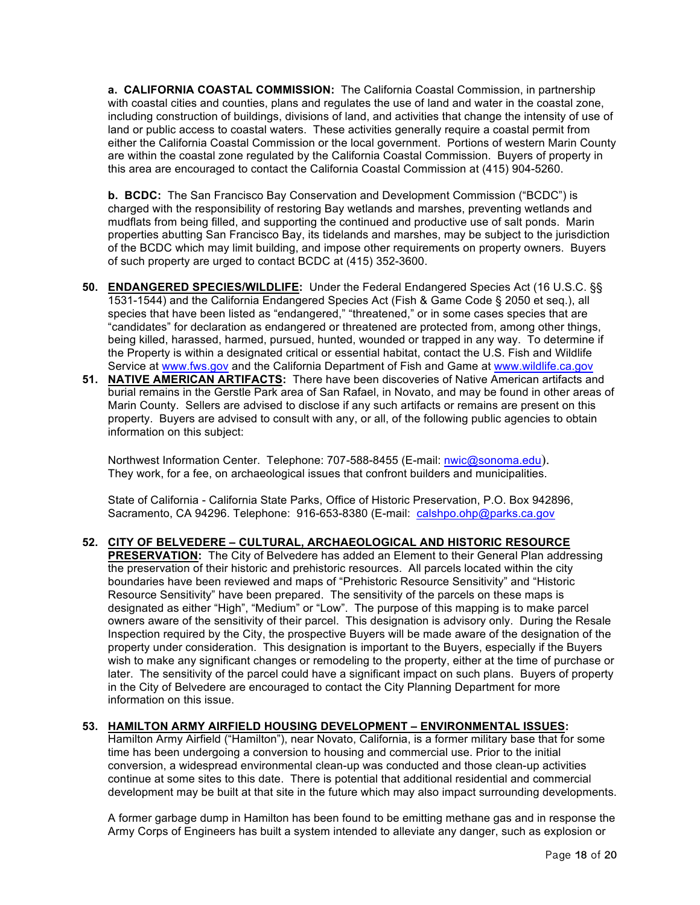**a. CALIFORNIA COASTAL COMMISSION:** The California Coastal Commission, in partnership with coastal cities and counties, plans and regulates the use of land and water in the coastal zone, including construction of buildings, divisions of land, and activities that change the intensity of use of land or public access to coastal waters. These activities generally require a coastal permit from either the California Coastal Commission or the local government. Portions of western Marin County are within the coastal zone regulated by the California Coastal Commission. Buyers of property in this area are encouraged to contact the California Coastal Commission at (415) 904-5260.

**b. BCDC:** The San Francisco Bay Conservation and Development Commission ("BCDC") is charged with the responsibility of restoring Bay wetlands and marshes, preventing wetlands and mudflats from being filled, and supporting the continued and productive use of salt ponds. Marin properties abutting San Francisco Bay, its tidelands and marshes, may be subject to the jurisdiction of the BCDC which may limit building, and impose other requirements on property owners. Buyers of such property are urged to contact BCDC at (415) 352-3600.

- **50. ENDANGERED SPECIES/WILDLIFE:** Under the Federal Endangered Species Act (16 U.S.C. §§ 1531-1544) and the California Endangered Species Act (Fish & Game Code § 2050 et seq.), all species that have been listed as "endangered," "threatened," or in some cases species that are "candidates" for declaration as endangered or threatened are protected from, among other things, being killed, harassed, harmed, pursued, hunted, wounded or trapped in any way. To determine if the Property is within a designated critical or essential habitat, contact the U.S. Fish and Wildlife Service at www.fws.gov and the California Department of Fish and Game at www.wildlife.ca.gov
- **51. NATIVE AMERICAN ARTIFACTS:** There have been discoveries of Native American artifacts and burial remains in the Gerstle Park area of San Rafael, in Novato, and may be found in other areas of Marin County. Sellers are advised to disclose if any such artifacts or remains are present on this property. Buyers are advised to consult with any, or all, of the following public agencies to obtain information on this subject:

Northwest Information Center. Telephone: 707-588-8455 (E-mail: nwic@sonoma.edu). They work, for a fee, on archaeological issues that confront builders and municipalities.

State of California - California State Parks, Office of Historic Preservation, P.O. Box 942896, Sacramento, CA 94296. Telephone: 916-653-8380 (E-mail: calshpo.ohp@parks.ca.gov

### **52. CITY OF BELVEDERE – CULTURAL, ARCHAEOLOGICAL AND HISTORIC RESOURCE**

**PRESERVATION:** The City of Belvedere has added an Element to their General Plan addressing the preservation of their historic and prehistoric resources. All parcels located within the city boundaries have been reviewed and maps of "Prehistoric Resource Sensitivity" and "Historic Resource Sensitivity" have been prepared. The sensitivity of the parcels on these maps is designated as either "High", "Medium" or "Low". The purpose of this mapping is to make parcel owners aware of the sensitivity of their parcel. This designation is advisory only. During the Resale Inspection required by the City, the prospective Buyers will be made aware of the designation of the property under consideration. This designation is important to the Buyers, especially if the Buyers wish to make any significant changes or remodeling to the property, either at the time of purchase or later. The sensitivity of the parcel could have a significant impact on such plans. Buyers of property in the City of Belvedere are encouraged to contact the City Planning Department for more information on this issue.

#### **53. HAMILTON ARMY AIRFIELD HOUSING DEVELOPMENT – ENVIRONMENTAL ISSUES:**

Hamilton Army Airfield ("Hamilton"), near Novato, California, is a former military base that for some time has been undergoing a conversion to housing and commercial use. Prior to the initial conversion, a widespread environmental clean-up was conducted and those clean-up activities continue at some sites to this date. There is potential that additional residential and commercial development may be built at that site in the future which may also impact surrounding developments.

A former garbage dump in Hamilton has been found to be emitting methane gas and in response the Army Corps of Engineers has built a system intended to alleviate any danger, such as explosion or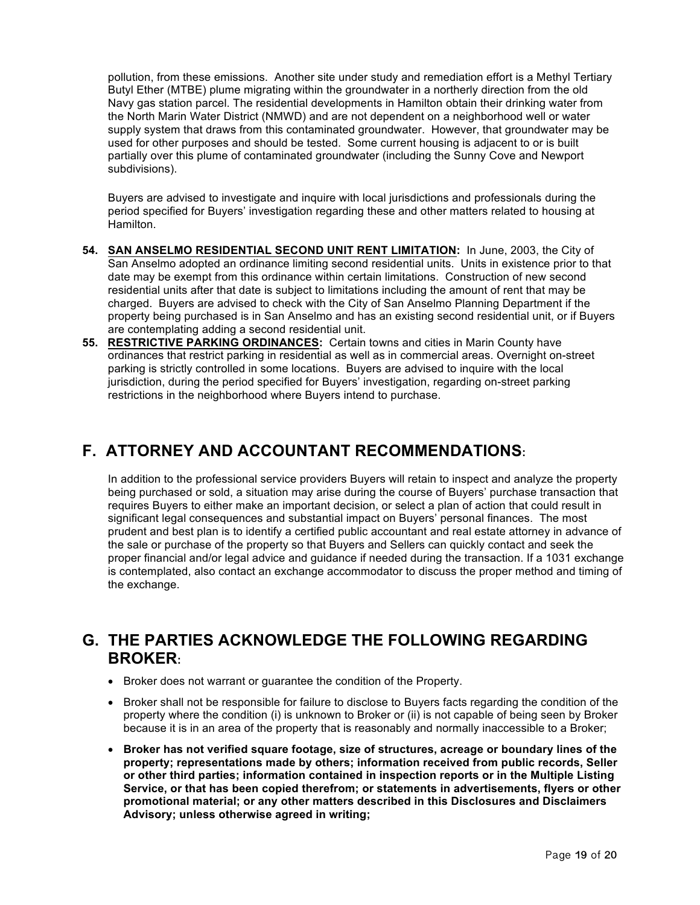pollution, from these emissions. Another site under study and remediation effort is a Methyl Tertiary Butyl Ether (MTBE) plume migrating within the groundwater in a northerly direction from the old Navy gas station parcel. The residential developments in Hamilton obtain their drinking water from the North Marin Water District (NMWD) and are not dependent on a neighborhood well or water supply system that draws from this contaminated groundwater. However, that groundwater may be used for other purposes and should be tested. Some current housing is adjacent to or is built partially over this plume of contaminated groundwater (including the Sunny Cove and Newport subdivisions).

Buyers are advised to investigate and inquire with local jurisdictions and professionals during the period specified for Buyers' investigation regarding these and other matters related to housing at Hamilton.

- **54. SAN ANSELMO RESIDENTIAL SECOND UNIT RENT LIMITATION:** In June, 2003, the City of San Anselmo adopted an ordinance limiting second residential units. Units in existence prior to that date may be exempt from this ordinance within certain limitations. Construction of new second residential units after that date is subject to limitations including the amount of rent that may be charged. Buyers are advised to check with the City of San Anselmo Planning Department if the property being purchased is in San Anselmo and has an existing second residential unit, or if Buyers are contemplating adding a second residential unit.
- **55. RESTRICTIVE PARKING ORDINANCES:** Certain towns and cities in Marin County have ordinances that restrict parking in residential as well as in commercial areas. Overnight on-street parking is strictly controlled in some locations. Buyers are advised to inquire with the local jurisdiction, during the period specified for Buyers' investigation, regarding on-street parking restrictions in the neighborhood where Buyers intend to purchase.

# **F. ATTORNEY AND ACCOUNTANT RECOMMENDATIONS:**

In addition to the professional service providers Buyers will retain to inspect and analyze the property being purchased or sold, a situation may arise during the course of Buyers' purchase transaction that requires Buyers to either make an important decision, or select a plan of action that could result in significant legal consequences and substantial impact on Buyers' personal finances. The most prudent and best plan is to identify a certified public accountant and real estate attorney in advance of the sale or purchase of the property so that Buyers and Sellers can quickly contact and seek the proper financial and/or legal advice and guidance if needed during the transaction. If a 1031 exchange is contemplated, also contact an exchange accommodator to discuss the proper method and timing of the exchange.

## **G. THE PARTIES ACKNOWLEDGE THE FOLLOWING REGARDING BROKER:**

- Broker does not warrant or guarantee the condition of the Property.
- Broker shall not be responsible for failure to disclose to Buyers facts regarding the condition of the property where the condition (i) is unknown to Broker or (ii) is not capable of being seen by Broker because it is in an area of the property that is reasonably and normally inaccessible to a Broker;
- **Broker has not verified square footage, size of structures, acreage or boundary lines of the property; representations made by others; information received from public records, Seller or other third parties; information contained in inspection reports or in the Multiple Listing Service, or that has been copied therefrom; or statements in advertisements, flyers or other promotional material; or any other matters described in this Disclosures and Disclaimers Advisory; unless otherwise agreed in writing;**